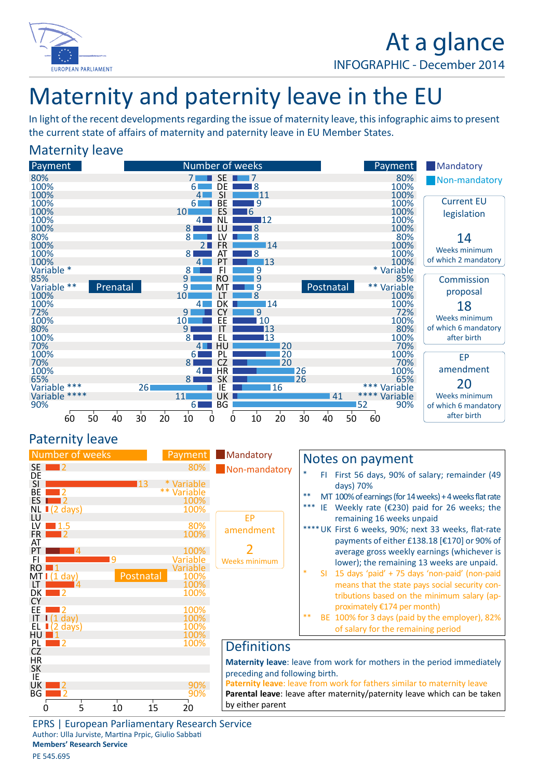

# At a glance

INFOGRAPHIC - December 2014

## Maternity and paternity leave in the EU

In light of the recent developments regarding the issue of maternity leave, this infographic aims to present the current state of affairs of maternity and paternity leave in EU Member States.

### Maternity leave



**Mandatory** 

by either parent

### Paternity leave



| Mandatory<br>Non-mandatory                                               |        | Notes on payment                                                                                                                                                                     |  |
|--------------------------------------------------------------------------|--------|--------------------------------------------------------------------------------------------------------------------------------------------------------------------------------------|--|
|                                                                          |        | First 56 days, 90% of salary; remainder (49<br>FI<br>days) 70%                                                                                                                       |  |
|                                                                          | **     | MT 100% of earnings (for 14 weeks) + 4 weeks flat rate                                                                                                                               |  |
|                                                                          | ***    | Weekly rate ( $\epsilon$ 230) paid for 26 weeks; the<br>IE                                                                                                                           |  |
| EP                                                                       |        | remaining 16 weeks unpaid                                                                                                                                                            |  |
| amendment                                                                |        | UK First 6 weeks, 90%; next 33 weeks, flat-rate                                                                                                                                      |  |
|                                                                          |        | payments of either £138.18 [€170] or 90% of<br>average gross weekly earnings (whichever is                                                                                           |  |
| <b>Weeks minimum</b>                                                     |        | lower); the remaining 13 weeks are unpaid.                                                                                                                                           |  |
|                                                                          | $\ast$ | 15 days 'paid' + 75 days 'non-paid' (non-paid<br>SI.<br>means that the state pays social security con-<br>tributions based on the minimum salary (ap-<br>proximately €174 per month) |  |
|                                                                          | $**$   | BE 100% for 3 days (paid by the employer), 82%<br>of salary for the remaining period                                                                                                 |  |
| <b>Definitions</b>                                                       |        |                                                                                                                                                                                      |  |
| preceding and following birth.                                           |        | <b>Maternity leave:</b> leave from work for mothers in the period immediately<br><b>Paternity leave:</b> leave from work for fathers similar to maternity leave                      |  |
| Parental leave: leave after maternity/paternity leave which can be taken |        |                                                                                                                                                                                      |  |

EPRS | European Parliamentary Research Service Author: Ulla Jurviste, Martina Prpic, Giulio Sabbati **Members' Research Service** PE 545.695